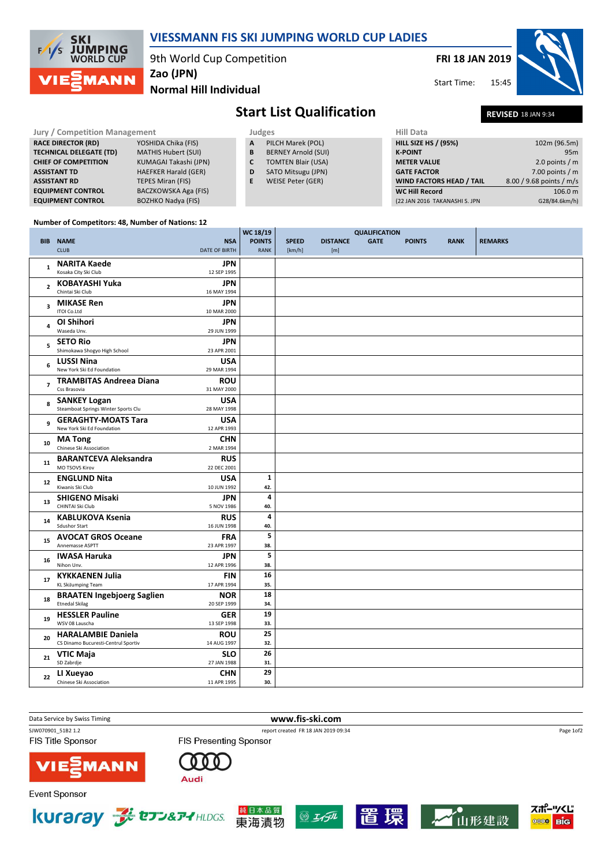

#### Number of Competitors: 48, Number of Nations: 12

EQUIPMENT CONTROL BOZHKO Nadya (FIS)

|                |                                         |                      | WC 18/19                | <b>QUALIFICATION</b> |                 |             |               |             |                |
|----------------|-----------------------------------------|----------------------|-------------------------|----------------------|-----------------|-------------|---------------|-------------|----------------|
|                | <b>BIB NAME</b>                         | <b>NSA</b>           | <b>POINTS</b>           | <b>SPEED</b>         | <b>DISTANCE</b> | <b>GATE</b> | <b>POINTS</b> | <b>RANK</b> | <b>REMARKS</b> |
|                | <b>CLUB</b>                             | <b>DATE OF BIRTH</b> | <b>RANK</b>             | [km/h]               | [m]             |             |               |             |                |
|                |                                         |                      |                         |                      |                 |             |               |             |                |
| $\mathbf{1}$   | <b>NARITA Kaede</b>                     | JPN                  |                         |                      |                 |             |               |             |                |
|                | Kosaka City Ski Club                    | 12 SEP 1995          |                         |                      |                 |             |               |             |                |
| $\overline{2}$ | KOBAYASHI Yuka                          | JPN                  |                         |                      |                 |             |               |             |                |
|                | Chintai Ski Club                        | 16 MAY 1994          |                         |                      |                 |             |               |             |                |
| 3              | <b>MIKASE Ren</b>                       | <b>JPN</b>           |                         |                      |                 |             |               |             |                |
|                | ITOI Co.Ltd                             | 10 MAR 2000          |                         |                      |                 |             |               |             |                |
|                | OI Shihori                              | JPN                  |                         |                      |                 |             |               |             |                |
| 4              | Waseda Unv.                             | 29 JUN 1999          |                         |                      |                 |             |               |             |                |
|                | <b>SETO Rio</b>                         | <b>JPN</b>           |                         |                      |                 |             |               |             |                |
| 5              | Shimokawa Shogyo High School            | 23 APR 2001          |                         |                      |                 |             |               |             |                |
|                |                                         |                      |                         |                      |                 |             |               |             |                |
| 6              | <b>LUSSI Nina</b>                       | <b>USA</b>           |                         |                      |                 |             |               |             |                |
|                | New York Ski Ed Foundation              | 29 MAR 1994          |                         |                      |                 |             |               |             |                |
| $\overline{7}$ | <b>TRAMBITAS Andreea Diana</b>          | <b>ROU</b>           |                         |                      |                 |             |               |             |                |
|                | Css Brasovia                            | 31 MAY 2000          |                         |                      |                 |             |               |             |                |
| 8              | <b>SANKEY Logan</b>                     | <b>USA</b>           |                         |                      |                 |             |               |             |                |
|                | Steamboat Springs Winter Sports Clu     | 28 MAY 1998          |                         |                      |                 |             |               |             |                |
| 9              | <b>GERAGHTY-MOATS Tara</b>              | <b>USA</b>           |                         |                      |                 |             |               |             |                |
|                | New York Ski Ed Foundation              | 12 APR 1993          |                         |                      |                 |             |               |             |                |
|                | <b>MA</b> Tong                          | <b>CHN</b>           |                         |                      |                 |             |               |             |                |
| 10             | Chinese Ski Association                 | 2 MAR 1994           |                         |                      |                 |             |               |             |                |
|                | <b>BARANTCEVA Aleksandra</b>            | <b>RUS</b>           |                         |                      |                 |             |               |             |                |
| 11             | MO TSOVS Kirov                          | 22 DEC 2001          |                         |                      |                 |             |               |             |                |
|                |                                         |                      | $\mathbf{1}$            |                      |                 |             |               |             |                |
| 12             | <b>ENGLUND Nita</b><br>Kiwanis Ski Club | <b>USA</b>           |                         |                      |                 |             |               |             |                |
|                |                                         | 10 JUN 1992          | 42.                     |                      |                 |             |               |             |                |
| 13             | <b>SHIGENO Misaki</b>                   | <b>JPN</b>           | $\overline{\mathbf{4}}$ |                      |                 |             |               |             |                |
|                | CHINTAI Ski Club                        | 5 NOV 1986           | 40.                     |                      |                 |             |               |             |                |
| 14             | <b>KABLUKOVA Ksenia</b>                 | <b>RUS</b>           | 4                       |                      |                 |             |               |             |                |
|                | <b>Sdushor Start</b>                    | 16 JUN 1998          | 40.                     |                      |                 |             |               |             |                |
| 15             | <b>AVOCAT GROS Oceane</b>               | <b>FRA</b>           | 5                       |                      |                 |             |               |             |                |
|                | Annemasse ASPTT                         | 23 APR 1997          | 38.                     |                      |                 |             |               |             |                |
|                | <b>IWASA Haruka</b>                     | JPN                  | 5                       |                      |                 |             |               |             |                |
| 16             | Nihon Unv.                              | 12 APR 1996          | 38.                     |                      |                 |             |               |             |                |
|                | <b>KYKKAENEN Julia</b>                  | <b>FIN</b>           | 16                      |                      |                 |             |               |             |                |
| 17             | <b>KL SkiJumping Team</b>               | 17 APR 1994          | 35.                     |                      |                 |             |               |             |                |
|                | <b>BRAATEN Ingebjoerg Saglien</b>       | <b>NOR</b>           | 18                      |                      |                 |             |               |             |                |
| 18             | <b>Etnedal Skilag</b>                   | 20 SEP 1999          | 34.                     |                      |                 |             |               |             |                |
|                |                                         |                      | 19                      |                      |                 |             |               |             |                |
| 19             | <b>HESSLER Pauline</b>                  | <b>GER</b>           |                         |                      |                 |             |               |             |                |
|                | WSV 08 Lauscha                          | 13 SEP 1998          | 33.                     |                      |                 |             |               |             |                |
| 20             | <b>HARALAMBIE Daniela</b>               | <b>ROU</b>           | 25                      |                      |                 |             |               |             |                |
|                | CS Dinamo Bucuresti-Centrul Sportiv     | 14 AUG 1997          | 32.                     |                      |                 |             |               |             |                |
| 21             | <b>VTIC Maja</b>                        | <b>SLO</b>           | 26                      |                      |                 |             |               |             |                |
|                | SD Zabrdje                              | 27 JAN 1988          | 31.                     |                      |                 |             |               |             |                |
|                | LI Xueyao                               | CHN                  | 29                      |                      |                 |             |               |             |                |
| 22             | Chinese Ski Association                 | 11 APR 1995          | 30.                     |                      |                 |             |               |             |                |

### Data Service by Swiss Timing **www.fis-ski.com** SJW070901\_51B2 1.2 report created FR 18 JAN 2019 09:34 Page 1of2**FIS Title Sponsor FIS Presenting Sponsor MANN** Audi **Event Sponsor**









WC Hill Record 106.0 m (22 JAN 2016 TAKANASHI S. JPN G28/84.6km/h)